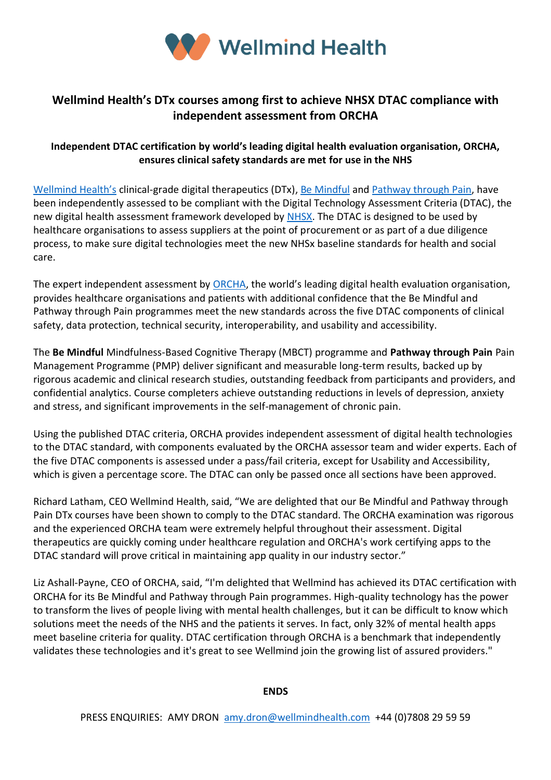

## **Wellmind Health's DTx courses among first to achieve NHSX DTAC compliance with independent assessment from ORCHA**

## **Independent DTAC certification by world's leading digital health evaluation organisation, ORCHA, ensures clinical safety standards are met for use in the NHS**

[Wellmind Health's](https://www.wellmindhealth.com/) clinical-grade digital therapeutics (DTx), [Be Mindful](https://www.bemindfulonline.com/) and [Pathway through Pain,](https://www.pathwaythroughpain.com/) have been independently assessed to be compliant with the Digital Technology Assessment Criteria (DTAC), the new digital health assessment framework developed by [NHSX.](https://www.nhsx.nhs.uk/key-tools-and-info/digital-technology-assessment-criteria-dtac/) The DTAC is designed to be used by healthcare organisations to assess suppliers at the point of procurement or as part of a due diligence process, to make sure digital technologies meet the new NHSx baseline standards for health and social care.

The expert independent assessment by [ORCHA](https://orchahealth.com/), the world's leading digital health evaluation organisation, provides healthcare organisations and patients with additional confidence that the Be Mindful and Pathway through Pain programmes meet the new standards across the five DTAC components of clinical safety, data protection, technical security, interoperability, and usability and accessibility.

The **Be Mindful** Mindfulness-Based Cognitive Therapy (MBCT) programme and **Pathway through Pain** Pain Management Programme (PMP) deliver significant and measurable long-term results, backed up by rigorous academic and clinical research studies, outstanding feedback from participants and providers, and confidential analytics. Course completers achieve outstanding reductions in levels of depression, anxiety and stress, and significant improvements in the self-management of chronic pain.

Using the published DTAC criteria, ORCHA provides independent assessment of digital health technologies to the DTAC standard, with components evaluated by the ORCHA assessor team and wider experts. Each of the five DTAC components is assessed under a pass/fail criteria, except for Usability and Accessibility, which is given a percentage score. The DTAC can only be passed once all sections have been approved.

Richard Latham, CEO Wellmind Health, said, "We are delighted that our Be Mindful and Pathway through Pain DTx courses have been shown to comply to the DTAC standard. The ORCHA examination was rigorous and the experienced ORCHA team were extremely helpful throughout their assessment. Digital therapeutics are quickly coming under healthcare regulation and ORCHA's work certifying apps to the DTAC standard will prove critical in maintaining app quality in our industry sector."

Liz Ashall-Payne, CEO of ORCHA, said, "I'm delighted that Wellmind has achieved its DTAC certification with ORCHA for its Be Mindful and Pathway through Pain programmes. High-quality technology has the power to transform the lives of people living with mental health challenges, but it can be difficult to know which solutions meet the needs of the NHS and the patients it serves. In fact, only 32% of mental health apps meet baseline criteria for quality. DTAC certification through ORCHA is a benchmark that independently validates these technologies and it's great to see Wellmind join the growing list of assured providers."

#### **ENDS**